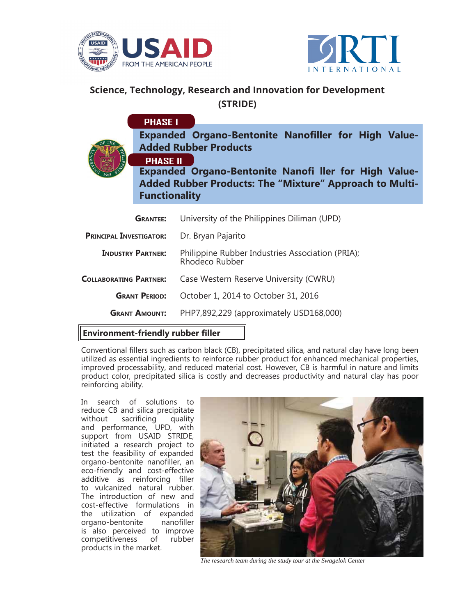



## **Science, Technology, Research and Innovation for Development (STRIDE)**

|                                           | <b>PHASE I</b>                          |                                                                                                                                |
|-------------------------------------------|-----------------------------------------|--------------------------------------------------------------------------------------------------------------------------------|
| ERSI'                                     |                                         | <b>Expanded Organo-Bentonite Nanofiller for High Value-</b><br><b>Added Rubber Products</b>                                    |
|                                           | <b>PHASE II</b><br><b>Functionality</b> | <b>Expanded Organo-Bentonite Nanofi ller for High Value-</b><br><b>Added Rubber Products: The "Mixture" Approach to Multi-</b> |
|                                           | <b>GRANTEE:</b>                         | University of the Philippines Diliman (UPD)                                                                                    |
| <b>PRINCIPAL INVESTIGATOR:</b>            |                                         | Dr. Bryan Pajarito                                                                                                             |
| <b>INDUSTRY PARTNER:</b>                  |                                         | Philippine Rubber Industries Association (PRIA);<br>Rhodeco Rubber                                                             |
| <b>COLLABORATING PARTNER:</b>             |                                         | Case Western Reserve University (CWRU)                                                                                         |
| <b>GRANT PERIOD:</b>                      |                                         | October 1, 2014 to October 31, 2016                                                                                            |
| <b>GRANT AMOUNT:</b>                      |                                         | PHP7,892,229 (approximately USD168,000)                                                                                        |
| <b>Environment-friendly rubber filler</b> |                                         |                                                                                                                                |

## **Environment-friendly rubber fi ller**

Conventional fillers such as carbon black (CB), precipitated silica, and natural clay have long been utilized as essential ingredients to reinforce rubber product for enhanced mechanical properties, improved processability, and reduced material cost. However, CB is harmful in nature and limits product color, precipitated silica is costly and decreases productivity and natural clay has poor reinforcing ability.

In search of solutions to reduce CB and silica precipitate without sacrificing quality and performance, UPD, with support from USAID STRIDE, initiated a research project to test the feasibility of expanded organo-bentonite nanofiller, an eco-friendly and cost-effective additive as reinforcing filler to vulcanized natural rubber. The introduction of new and cost-effective formulations in the utilization of expanded organo-bentonite nanofiller is also perceived to improve<br>competitiveness of rubber competitiveness of products in the market.



*The research team during the study tour at the Swagelok Center*